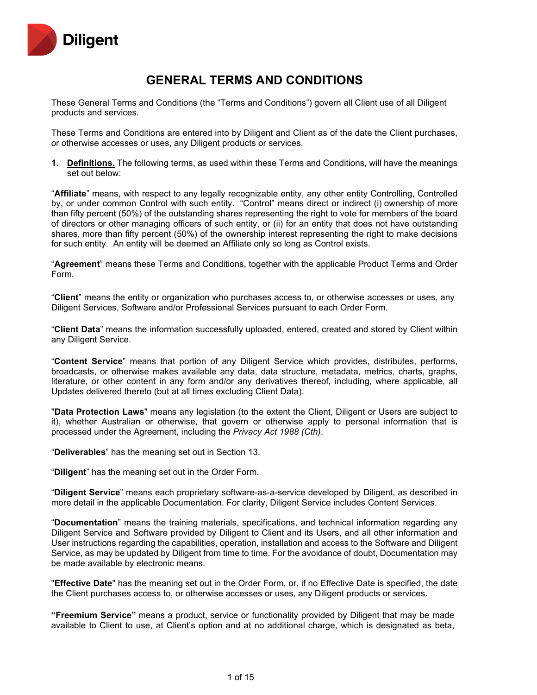

# **GENERAL TERMS AND CONDITIONS**

These General Terms and Conditions (the "Terms and Conditions") govern all Client use of all Diligent products and services.

These Terms and Conditions are entered into by Diligent and Client as of the date the Client purchases, or otherwise accesses or uses, any Diligent products or services.

**1. Definitions.** The following terms, as used within these Terms and Conditions, will have the meanings set out below:

"**Affiliate**" means, with respect to any legally recognizable entity, any other entity Controlling, Controlled by, or under common Control with such entity. "Control" means direct or indirect (i) ownership of more than fifty percent (50%) of the outstanding shares representing the right to vote for members of the board of directors or other managing officers of such entity, or (ii) for an entity that does not have outstanding shares, more than fifty percent (50%) of the ownership interest representing the right to make decisions for such entity. An entity will be deemed an Affiliate only so long as Control exists.

"**Agreement**" means these Terms and Conditions, together with the applicable Product Terms and Order Form.

"**Client**" means the entity or organization who purchases access to, or otherwise accesses or uses, any Diligent Services, Software and/or Professional Services pursuant to each Order Form.

"**Client Data**" means the information successfully uploaded, entered, created and stored by Client within any Diligent Service.

"**Content Service**" means that portion of any Diligent Service which provides, distributes, performs, broadcasts, or otherwise makes available any data, data structure, metadata, metrics, charts, graphs, literature, or other content in any form and/or any derivatives thereof, including, where applicable, all Updates delivered thereto (but at all times excluding Client Data).

"**Data Protection Laws**" means any legislation (to the extent the Client, Diligent or Users are subject to it), whether Australian or otherwise, that govern or otherwise apply to personal information that is processed under the Agreement, including the *Privacy Act 1988 (Cth)*.

"**Deliverables**" has the meaning set out in Section 13.

"**Diligent**" has the meaning set out in the Order Form.

"**Diligent Service**" means each proprietary software-as-a-service developed by Diligent, as described in more detail in the applicable Documentation. For clarity, Diligent Service includes Content Services.

"**Documentation**" means the training materials, specifications, and technical information regarding any Diligent Service and Software provided by Diligent to Client and its Users, and all other information and User instructions regarding the capabilities, operation, installation and access to the Software and Diligent Service, as may be updated by Diligent from time to time. For the avoidance of doubt, Documentation may be made available by electronic means.

"**Effective Date**" has the meaning set out in the Order Form, or, if no Effective Date is specified, the date the Client purchases access to, or otherwise accesses or uses, any Diligent products or services.

**"Freemium Service"** means a product, service or functionality provided by Diligent that may be made available to Client to use, at Client's option and at no additional charge, which is designated as beta,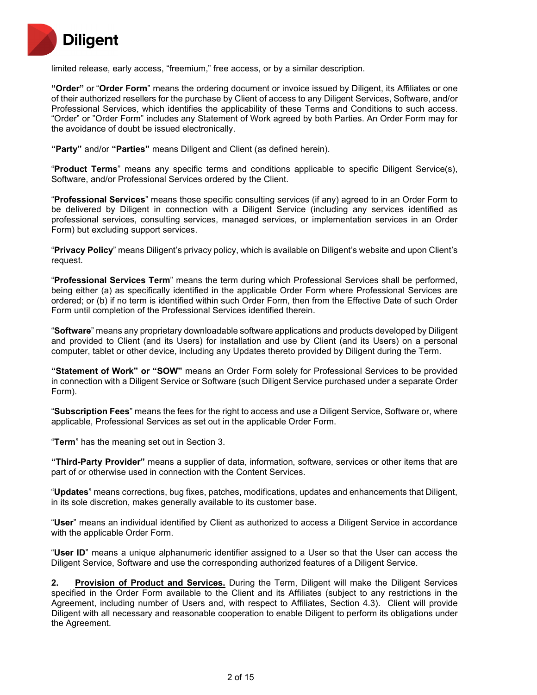

limited release, early access, "freemium," free access, or by a similar description.

**"Order"** or "**Order Form**" means the ordering document or invoice issued by Diligent, its Affiliates or one of their authorized resellers for the purchase by Client of access to any Diligent Services, Software, and/or Professional Services, which identifies the applicability of these Terms and Conditions to such access. "Order" or "Order Form" includes any Statement of Work agreed by both Parties. An Order Form may for the avoidance of doubt be issued electronically.

**"Party"** and/or **"Parties"** means Diligent and Client (as defined herein).

"**Product Terms**" means any specific terms and conditions applicable to specific Diligent Service(s), Software, and/or Professional Services ordered by the Client.

"**Professional Services**" means those specific consulting services (if any) agreed to in an Order Form to be delivered by Diligent in connection with a Diligent Service (including any services identified as professional services, consulting services, managed services, or implementation services in an Order Form) but excluding support services.

"**Privacy Policy**" means Diligent's privacy policy, which is available on Diligent's website and upon Client's request.

"**Professional Services Term**" means the term during which Professional Services shall be performed, being either (a) as specifically identified in the applicable Order Form where Professional Services are ordered; or (b) if no term is identified within such Order Form, then from the Effective Date of such Order Form until completion of the Professional Services identified therein.

"**Software**" means any proprietary downloadable software applications and products developed by Diligent and provided to Client (and its Users) for installation and use by Client (and its Users) on a personal computer, tablet or other device, including any Updates thereto provided by Diligent during the Term.

**"Statement of Work" or "SOW"** means an Order Form solely for Professional Services to be provided in connection with a Diligent Service or Software (such Diligent Service purchased under a separate Order Form).

"**Subscription Fees**" means the fees for the right to access and use a Diligent Service, Software or, where applicable, Professional Services as set out in the applicable Order Form.

"**Term**" has the meaning set out in Section 3.

**"Third-Party Provider"** means a supplier of data, information, software, services or other items that are part of or otherwise used in connection with the Content Services.

"**Updates**" means corrections, bug fixes, patches, modifications, updates and enhancements that Diligent, in its sole discretion, makes generally available to its customer base.

"**User**" means an individual identified by Client as authorized to access a Diligent Service in accordance with the applicable Order Form.

"**User ID**" means a unique alphanumeric identifier assigned to a User so that the User can access the Diligent Service, Software and use the corresponding authorized features of a Diligent Service.

**2. Provision of Product and Services.** During the Term, Diligent will make the Diligent Services specified in the Order Form available to the Client and its Affiliates (subject to any restrictions in the Agreement, including number of Users and, with respect to Affiliates, Section 4.3). Client will provide Diligent with all necessary and reasonable cooperation to enable Diligent to perform its obligations under the Agreement.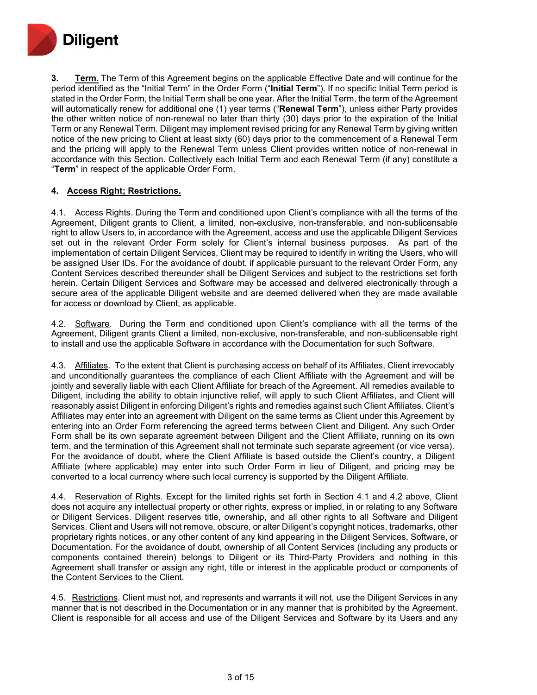

**3. Term.** The Term of this Agreement begins on the applicable Effective Date and will continue for the period identified as the "Initial Term" in the Order Form ("**Initial Term**"). If no specific Initial Term period is stated in the Order Form, the Initial Term shall be one year. After the Initial Term, the term of the Agreement will automatically renew for additional one (1) year terms ("**Renewal Term**"), unless either Party provides the other written notice of non-renewal no later than thirty (30) days prior to the expiration of the Initial Term or any Renewal Term. Diligent may implement revised pricing for any Renewal Term by giving written notice of the new pricing to Client at least sixty (60) days prior to the commencement of a Renewal Term and the pricing will apply to the Renewal Term unless Client provides written notice of non-renewal in accordance with this Section. Collectively each Initial Term and each Renewal Term (if any) constitute a "**Term**" in respect of the applicable Order Form.

## **4. Access Right; Restrictions.**

4.1. Access Rights. During the Term and conditioned upon Client's compliance with all the terms of the Agreement, Diligent grants to Client, a limited, non-exclusive, non-transferable, and non-sublicensable right to allow Users to, in accordance with the Agreement, access and use the applicable Diligent Services set out in the relevant Order Form solely for Client's internal business purposes. As part of the implementation of certain Diligent Services, Client may be required to identify in writing the Users, who will be assigned User IDs. For the avoidance of doubt, if applicable pursuant to the relevant Order Form, any Content Services described thereunder shall be Diligent Services and subject to the restrictions set forth herein. Certain Diligent Services and Software may be accessed and delivered electronically through a secure area of the applicable Diligent website and are deemed delivered when they are made available for access or download by Client, as applicable.

4.2. Software. During the Term and conditioned upon Client's compliance with all the terms of the Agreement, Diligent grants Client a limited, non-exclusive, non-transferable, and non-sublicensable right to install and use the applicable Software in accordance with the Documentation for such Software.

4.3. Affiliates. To the extent that Client is purchasing access on behalf of its Affiliates, Client irrevocably and unconditionally guarantees the compliance of each Client Affiliate with the Agreement and will be jointly and severally liable with each Client Affiliate for breach of the Agreement. All remedies available to Diligent, including the ability to obtain injunctive relief, will apply to such Client Affiliates, and Client will reasonably assist Diligent in enforcing Diligent's rights and remedies against such Client Affiliates. Client's Affiliates may enter into an agreement with Diligent on the same terms as Client under this Agreement by entering into an Order Form referencing the agreed terms between Client and Diligent. Any such Order Form shall be its own separate agreement between Diligent and the Client Affiliate, running on its own term, and the termination of this Agreement shall not terminate such separate agreement (or vice versa). For the avoidance of doubt, where the Client Affiliate is based outside the Client's country, a Diligent Affiliate (where applicable) may enter into such Order Form in lieu of Diligent, and pricing may be converted to a local currency where such local currency is supported by the Diligent Affiliate.

4.4. Reservation of Rights. Except for the limited rights set forth in Section 4.1 and 4.2 above, Client does not acquire any intellectual property or other rights, express or implied, in or relating to any Software or Diligent Services. Diligent reserves title, ownership, and all other rights to all Software and Diligent Services. Client and Users will not remove, obscure, or alter Diligent's copyright notices, trademarks, other proprietary rights notices, or any other content of any kind appearing in the Diligent Services, Software, or Documentation. For the avoidance of doubt, ownership of all Content Services (including any products or components contained therein) belongs to Diligent or its Third-Party Providers and nothing in this Agreement shall transfer or assign any right, title or interest in the applicable product or components of the Content Services to the Client.

4.5. Restrictions. Client must not, and represents and warrants it will not, use the Diligent Services in any manner that is not described in the Documentation or in any manner that is prohibited by the Agreement. Client is responsible for all access and use of the Diligent Services and Software by its Users and any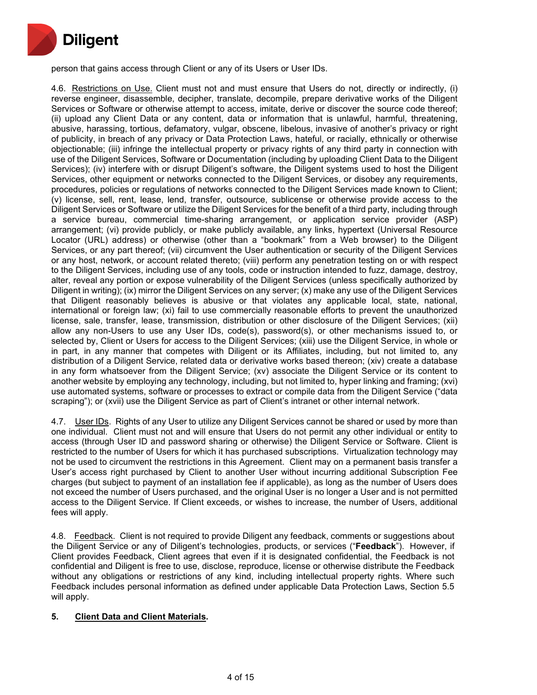

person that gains access through Client or any of its Users or User IDs.

4.6. Restrictions on Use. Client must not and must ensure that Users do not, directly or indirectly, (i) reverse engineer, disassemble, decipher, translate, decompile, prepare derivative works of the Diligent Services or Software or otherwise attempt to access, imitate, derive or discover the source code thereof; (ii) upload any Client Data or any content, data or information that is unlawful, harmful, threatening, abusive, harassing, tortious, defamatory, vulgar, obscene, libelous, invasive of another's privacy or right of publicity, in breach of any privacy or Data Protection Laws, hateful, or racially, ethnically or otherwise objectionable; (iii) infringe the intellectual property or privacy rights of any third party in connection with use of the Diligent Services, Software or Documentation (including by uploading Client Data to the Diligent Services); (iv) interfere with or disrupt Diligent's software, the Diligent systems used to host the Diligent Services, other equipment or networks connected to the Diligent Services, or disobey any requirements, procedures, policies or regulations of networks connected to the Diligent Services made known to Client; (v) license, sell, rent, lease, lend, transfer, outsource, sublicense or otherwise provide access to the Diligent Services or Software or utilize the Diligent Services for the benefit of a third party, including through a service bureau, commercial time-sharing arrangement, or application service provider (ASP) arrangement; (vi) provide publicly, or make publicly available, any links, hypertext (Universal Resource Locator (URL) address) or otherwise (other than a "bookmark" from a Web browser) to the Diligent Services, or any part thereof; (vii) circumvent the User authentication or security of the Diligent Services or any host, network, or account related thereto; (viii) perform any penetration testing on or with respect to the Diligent Services, including use of any tools, code or instruction intended to fuzz, damage, destroy, alter, reveal any portion or expose vulnerability of the Diligent Services (unless specifically authorized by Diligent in writing); (ix) mirror the Diligent Services on any server; (x) make any use of the Diligent Services that Diligent reasonably believes is abusive or that violates any applicable local, state, national, international or foreign law; (xi) fail to use commercially reasonable efforts to prevent the unauthorized license, sale, transfer, lease, transmission, distribution or other disclosure of the Diligent Services; (xii) allow any non-Users to use any User IDs, code(s), password(s), or other mechanisms issued to, or selected by, Client or Users for access to the Diligent Services; (xiii) use the Diligent Service, in whole or in part, in any manner that competes with Diligent or its Affiliates, including, but not limited to, any distribution of a Diligent Service, related data or derivative works based thereon; (xiv) create a database in any form whatsoever from the Diligent Service; (xv) associate the Diligent Service or its content to another website by employing any technology, including, but not limited to, hyper linking and framing; (xvi) use automated systems, software or processes to extract or compile data from the Diligent Service ("data scraping"); or (xvii) use the Diligent Service as part of Client's intranet or other internal network.

4.7. User IDs. Rights of any User to utilize any Diligent Services cannot be shared or used by more than one individual. Client must not and will ensure that Users do not permit any other individual or entity to access (through User ID and password sharing or otherwise) the Diligent Service or Software. Client is restricted to the number of Users for which it has purchased subscriptions. Virtualization technology may not be used to circumvent the restrictions in this Agreement. Client may on a permanent basis transfer a User's access right purchased by Client to another User without incurring additional Subscription Fee charges (but subject to payment of an installation fee if applicable), as long as the number of Users does not exceed the number of Users purchased, and the original User is no longer a User and is not permitted access to the Diligent Service. If Client exceeds, or wishes to increase, the number of Users, additional fees will apply.

4.8. Feedback. Client is not required to provide Diligent any feedback, comments or suggestions about the Diligent Service or any of Diligent's technologies, products, or services ("**Feedback**"). However, if Client provides Feedback, Client agrees that even if it is designated confidential, the Feedback is not confidential and Diligent is free to use, disclose, reproduce, license or otherwise distribute the Feedback without any obligations or restrictions of any kind, including intellectual property rights. Where such Feedback includes personal information as defined under applicable Data Protection Laws, Section 5.5 will apply.

## **5. Client Data and Client Materials.**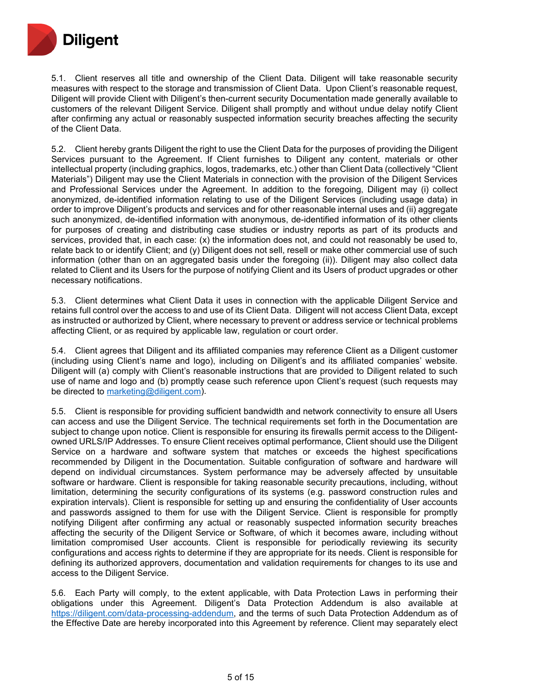

5.1. Client reserves all title and ownership of the Client Data. Diligent will take reasonable security measures with respect to the storage and transmission of Client Data. Upon Client's reasonable request, Diligent will provide Client with Diligent's then-current security Documentation made generally available to customers of the relevant Diligent Service. Diligent shall promptly and without undue delay notify Client after confirming any actual or reasonably suspected information security breaches affecting the security of the Client Data.

5.2. Client hereby grants Diligent the right to use the Client Data for the purposes of providing the Diligent Services pursuant to the Agreement. If Client furnishes to Diligent any content, materials or other intellectual property (including graphics, logos, trademarks, etc.) other than Client Data (collectively "Client Materials") Diligent may use the Client Materials in connection with the provision of the Diligent Services and Professional Services under the Agreement. In addition to the foregoing, Diligent may (i) collect anonymized, de-identified information relating to use of the Diligent Services (including usage data) in order to improve Diligent's products and services and for other reasonable internal uses and (ii) aggregate such anonymized, de-identified information with anonymous, de-identified information of its other clients for purposes of creating and distributing case studies or industry reports as part of its products and services, provided that, in each case: (x) the information does not, and could not reasonably be used to, relate back to or identify Client; and (y) Diligent does not sell, resell or make other commercial use of such information (other than on an aggregated basis under the foregoing (ii)). Diligent may also collect data related to Client and its Users for the purpose of notifying Client and its Users of product upgrades or other necessary notifications.

5.3. Client determines what Client Data it uses in connection with the applicable Diligent Service and retains full control over the access to and use of its Client Data. Diligent will not access Client Data, except as instructed or authorized by Client, where necessary to prevent or address service or technical problems affecting Client, or as required by applicable law, regulation or court order.

5.4. Client agrees that Diligent and its affiliated companies may reference Client as a Diligent customer (including using Client's name and logo), including on Diligent's and its affiliated companies' website. Diligent will (a) comply with Client's reasonable instructions that are provided to Diligent related to such use of name and logo and (b) promptly cease such reference upon Client's request (such requests may be directed to [marketing@diligent.com\)](mailto:marketing@diligent.com).

5.5. Client is responsible for providing sufficient bandwidth and network connectivity to ensure all Users can access and use the Diligent Service. The technical requirements set forth in the Documentation are subject to change upon notice. Client is responsible for ensuring its firewalls permit access to the Diligentowned URLS/IP Addresses. To ensure Client receives optimal performance, Client should use the Diligent Service on a hardware and software system that matches or exceeds the highest specifications recommended by Diligent in the Documentation. Suitable configuration of software and hardware will depend on individual circumstances. System performance may be adversely affected by unsuitable software or hardware. Client is responsible for taking reasonable security precautions, including, without limitation, determining the security configurations of its systems (e.g. password construction rules and expiration intervals). Client is responsible for setting up and ensuring the confidentiality of User accounts and passwords assigned to them for use with the Diligent Service. Client is responsible for promptly notifying Diligent after confirming any actual or reasonably suspected information security breaches affecting the security of the Diligent Service or Software, of which it becomes aware, including without limitation compromised User accounts. Client is responsible for periodically reviewing its security configurations and access rights to determine if they are appropriate for its needs. Client is responsible for defining its authorized approvers, documentation and validation requirements for changes to its use and access to the Diligent Service.

5.6. Each Party will comply, to the extent applicable, with Data Protection Laws in performing their obligations under this Agreement. Diligent's Data Protection Addendum is also available at [https://diligent.com/data-processing-addendum,](https://diligent.com/data-processing-addendum) and the terms of such Data Protection Addendum as of the Effective Date are hereby incorporated into this Agreement by reference. Client may separately elect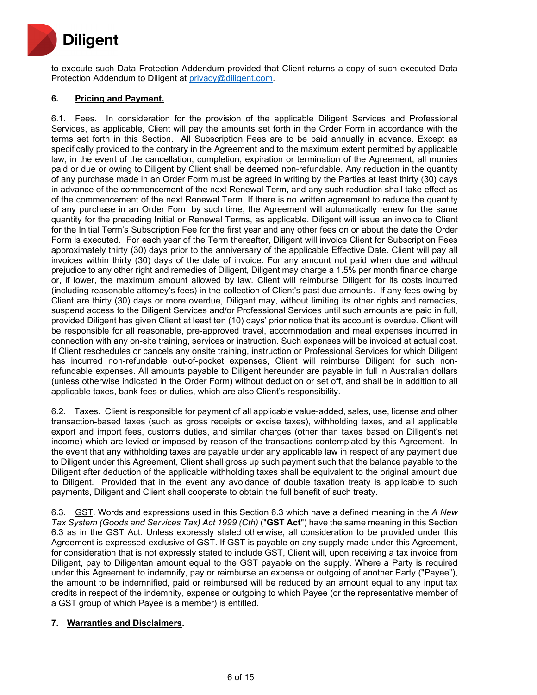

to execute such Data Protection Addendum provided that Client returns a copy of such executed Data Protection Addendum to Diligent at [privacy@diligent.com.](mailto:privacy@diligent.com)

## **6. Pricing and Payment.**

6.1. Fees. In consideration for the provision of the applicable Diligent Services and Professional Services, as applicable, Client will pay the amounts set forth in the Order Form in accordance with the terms set forth in this Section. All Subscription Fees are to be paid annually in advance. Except as specifically provided to the contrary in the Agreement and to the maximum extent permitted by applicable law, in the event of the cancellation, completion, expiration or termination of the Agreement, all monies paid or due or owing to Diligent by Client shall be deemed non-refundable. Any reduction in the quantity of any purchase made in an Order Form must be agreed in writing by the Parties at least thirty (30) days in advance of the commencement of the next Renewal Term, and any such reduction shall take effect as of the commencement of the next Renewal Term. If there is no written agreement to reduce the quantity of any purchase in an Order Form by such time, the Agreement will automatically renew for the same quantity for the preceding Initial or Renewal Terms, as applicable. Diligent will issue an invoice to Client for the Initial Term's Subscription Fee for the first year and any other fees on or about the date the Order Form is executed. For each year of the Term thereafter, Diligent will invoice Client for Subscription Fees approximately thirty (30) days prior to the anniversary of the applicable Effective Date. Client will pay all invoices within thirty (30) days of the date of invoice. For any amount not paid when due and without prejudice to any other right and remedies of Diligent, Diligent may charge a 1.5% per month finance charge or, if lower, the maximum amount allowed by law. Client will reimburse Diligent for its costs incurred (including reasonable attorney's fees) in the collection of Client's past due amounts. If any fees owing by Client are thirty (30) days or more overdue, Diligent may, without limiting its other rights and remedies, suspend access to the Diligent Services and/or Professional Services until such amounts are paid in full, provided Diligent has given Client at least ten (10) days' prior notice that its account is overdue. Client will be responsible for all reasonable, pre-approved travel, accommodation and meal expenses incurred in connection with any on-site training, services or instruction. Such expenses will be invoiced at actual cost. If Client reschedules or cancels any onsite training, instruction or Professional Services for which Diligent has incurred non-refundable out-of-pocket expenses, Client will reimburse Diligent for such nonrefundable expenses. All amounts payable to Diligent hereunder are payable in full in Australian dollars (unless otherwise indicated in the Order Form) without deduction or set off, and shall be in addition to all applicable taxes, bank fees or duties, which are also Client's responsibility.

6.2. Taxes. Client is responsible for payment of all applicable value-added, sales, use, license and other transaction-based taxes (such as gross receipts or excise taxes), withholding taxes, and all applicable export and import fees, customs duties, and similar charges (other than taxes based on Diligent's net income) which are levied or imposed by reason of the transactions contemplated by this Agreement. In the event that any withholding taxes are payable under any applicable law in respect of any payment due to Diligent under this Agreement, Client shall gross up such payment such that the balance payable to the Diligent after deduction of the applicable withholding taxes shall be equivalent to the original amount due to Diligent. Provided that in the event any avoidance of double taxation treaty is applicable to such payments, Diligent and Client shall cooperate to obtain the full benefit of such treaty.

6.3. GST. Words and expressions used in this Section 6.3 which have a defined meaning in the *A New Tax System (Goods and Services Tax) Act 1999 (Cth)* ("**GST Act**") have the same meaning in this Section 6.3 as in the GST Act. Unless expressly stated otherwise, all consideration to be provided under this Agreement is expressed exclusive of GST. If GST is payable on any supply made under this Agreement, for consideration that is not expressly stated to include GST, Client will, upon receiving a tax invoice from Diligent, pay to Diligentan amount equal to the GST payable on the supply. Where a Party is required under this Agreement to indemnify, pay or reimburse an expense or outgoing of another Party ("Payee"), the amount to be indemnified, paid or reimbursed will be reduced by an amount equal to any input tax credits in respect of the indemnity, expense or outgoing to which Payee (or the representative member of a GST group of which Payee is a member) is entitled.

## **7. Warranties and Disclaimers.**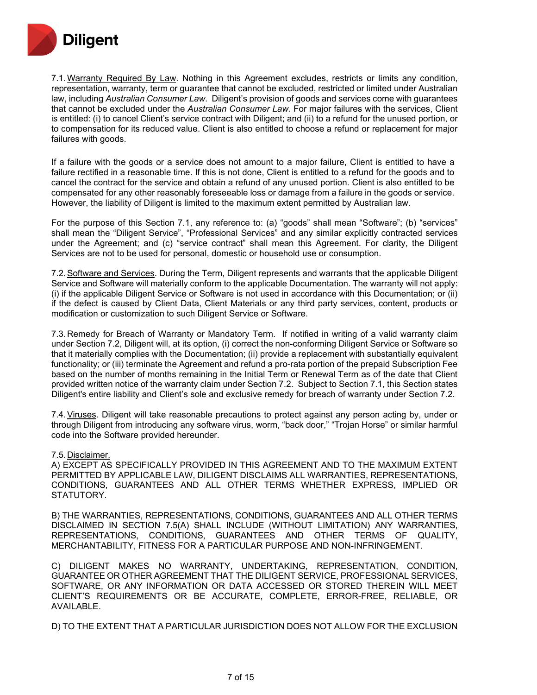

7.1.Warranty Required By Law. Nothing in this Agreement excludes, restricts or limits any condition, representation, warranty, term or guarantee that cannot be excluded, restricted or limited under Australian law, including *Australian Consumer Law*. Diligent's provision of goods and services come with guarantees that cannot be excluded under the *Australian Consumer Law.* For major failures with the services, Client is entitled: (i) to cancel Client's service contract with Diligent; and (ii) to a refund for the unused portion, or to compensation for its reduced value. Client is also entitled to choose a refund or replacement for major failures with goods.

If a failure with the goods or a service does not amount to a major failure, Client is entitled to have a failure rectified in a reasonable time. If this is not done, Client is entitled to a refund for the goods and to cancel the contract for the service and obtain a refund of any unused portion. Client is also entitled to be compensated for any other reasonably foreseeable loss or damage from a failure in the goods or service. However, the liability of Diligent is limited to the maximum extent permitted by Australian law.

For the purpose of this Section 7.1, any reference to: (a) "goods" shall mean "Software"; (b) "services" shall mean the "Diligent Service", "Professional Services" and any similar explicitly contracted services under the Agreement; and (c) "service contract" shall mean this Agreement. For clarity, the Diligent Services are not to be used for personal, domestic or household use or consumption.

7.2.Software and Services. During the Term, Diligent represents and warrants that the applicable Diligent Service and Software will materially conform to the applicable Documentation. The warranty will not apply: (i) if the applicable Diligent Service or Software is not used in accordance with this Documentation; or (ii) if the defect is caused by Client Data, Client Materials or any third party services, content, products or modification or customization to such Diligent Service or Software.

7.3. Remedy for Breach of Warranty or Mandatory Term. If notified in writing of a valid warranty claim under Section 7.2, Diligent will, at its option, (i) correct the non-conforming Diligent Service or Software so that it materially complies with the Documentation; (ii) provide a replacement with substantially equivalent functionality; or (iii) terminate the Agreement and refund a pro-rata portion of the prepaid Subscription Fee based on the number of months remaining in the Initial Term or Renewal Term as of the date that Client provided written notice of the warranty claim under Section 7.2. Subject to Section 7.1, this Section states Diligent's entire liability and Client's sole and exclusive remedy for breach of warranty under Section 7.2.

7.4.Viruses. Diligent will take reasonable precautions to protect against any person acting by, under or through Diligent from introducing any software virus, worm, "back door," "Trojan Horse" or similar harmful code into the Software provided hereunder.

#### 7.5. Disclaimer.

A) EXCEPT AS SPECIFICALLY PROVIDED IN THIS AGREEMENT AND TO THE MAXIMUM EXTENT PERMITTED BY APPLICABLE LAW, DILIGENT DISCLAIMS ALL WARRANTIES, REPRESENTATIONS, CONDITIONS, GUARANTEES AND ALL OTHER TERMS WHETHER EXPRESS, IMPLIED OR STATUTORY.

B) THE WARRANTIES, REPRESENTATIONS, CONDITIONS, GUARANTEES AND ALL OTHER TERMS DISCLAIMED IN SECTION 7.5(A) SHALL INCLUDE (WITHOUT LIMITATION) ANY WARRANTIES, REPRESENTATIONS, CONDITIONS, GUARANTEES AND OTHER TERMS OF QUALITY, MERCHANTABILITY, FITNESS FOR A PARTICULAR PURPOSE AND NON-INFRINGEMENT.

C) DILIGENT MAKES NO WARRANTY, UNDERTAKING, REPRESENTATION, CONDITION, GUARANTEE OR OTHER AGREEMENT THAT THE DILIGENT SERVICE, PROFESSIONAL SERVICES, SOFTWARE, OR ANY INFORMATION OR DATA ACCESSED OR STORED THEREIN WILL MEET CLIENT'S REQUIREMENTS OR BE ACCURATE, COMPLETE, ERROR-FREE, RELIABLE, OR AVAILABLE.

D) TO THE EXTENT THAT A PARTICULAR JURISDICTION DOES NOT ALLOW FOR THE EXCLUSION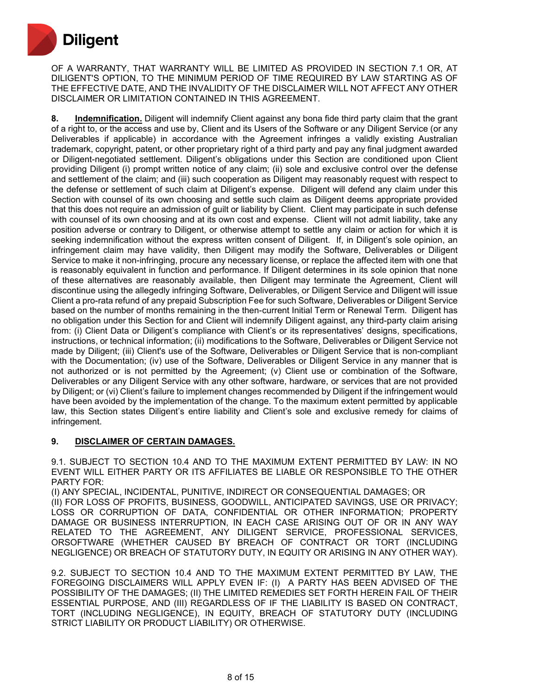

OF A WARRANTY, THAT WARRANTY WILL BE LIMITED AS PROVIDED IN SECTION 7.1 OR, AT DILIGENT'S OPTION, TO THE MINIMUM PERIOD OF TIME REQUIRED BY LAW STARTING AS OF THE EFFECTIVE DATE, AND THE INVALIDITY OF THE DISCLAIMER WILL NOT AFFECT ANY OTHER DISCLAIMER OR LIMITATION CONTAINED IN THIS AGREEMENT.

**8. Indemnification.** Diligent will indemnify Client against any bona fide third party claim that the grant of a right to, or the access and use by, Client and its Users of the Software or any Diligent Service (or any Deliverables if applicable) in accordance with the Agreement infringes a validly existing Australian trademark, copyright, patent, or other proprietary right of a third party and pay any final judgment awarded or Diligent-negotiated settlement. Diligent's obligations under this Section are conditioned upon Client providing Diligent (i) prompt written notice of any claim; (ii) sole and exclusive control over the defense and settlement of the claim; and (iii) such cooperation as Diligent may reasonably request with respect to the defense or settlement of such claim at Diligent's expense. Diligent will defend any claim under this Section with counsel of its own choosing and settle such claim as Diligent deems appropriate provided that this does not require an admission of guilt or liability by Client. Client may participate in such defense with counsel of its own choosing and at its own cost and expense. Client will not admit liability, take any position adverse or contrary to Diligent, or otherwise attempt to settle any claim or action for which it is seeking indemnification without the express written consent of Diligent. If, in Diligent's sole opinion, an infringement claim may have validity, then Diligent may modify the Software, Deliverables or Diligent Service to make it non-infringing, procure any necessary license, or replace the affected item with one that is reasonably equivalent in function and performance. If Diligent determines in its sole opinion that none of these alternatives are reasonably available, then Diligent may terminate the Agreement, Client will discontinue using the allegedly infringing Software, Deliverables, or Diligent Service and Diligent will issue Client a pro-rata refund of any prepaid Subscription Fee for such Software, Deliverables or Diligent Service based on the number of months remaining in the then-current Initial Term or Renewal Term. Diligent has no obligation under this Section for and Client will indemnify Diligent against, any third-party claim arising from: (i) Client Data or Diligent's compliance with Client's or its representatives' designs, specifications, instructions, or technical information; (ii) modifications to the Software, Deliverables or Diligent Service not made by Diligent; (iii) Client's use of the Software, Deliverables or Diligent Service that is non-compliant with the Documentation; (iv) use of the Software, Deliverables or Diligent Service in any manner that is not authorized or is not permitted by the Agreement; (v) Client use or combination of the Software, Deliverables or any Diligent Service with any other software, hardware, or services that are not provided by Diligent; or (vi) Client's failure to implement changes recommended by Diligent if the infringement would have been avoided by the implementation of the change. To the maximum extent permitted by applicable law, this Section states Diligent's entire liability and Client's sole and exclusive remedy for claims of infringement.

## **9. DISCLAIMER OF CERTAIN DAMAGES.**

9.1. SUBJECT TO SECTION 10.4 AND TO THE MAXIMUM EXTENT PERMITTED BY LAW: IN NO EVENT WILL EITHER PARTY OR ITS AFFILIATES BE LIABLE OR RESPONSIBLE TO THE OTHER PARTY FOR:

(I) ANY SPECIAL, INCIDENTAL, PUNITIVE, INDIRECT OR CONSEQUENTIAL DAMAGES; OR (II) FOR LOSS OF PROFITS, BUSINESS, GOODWILL, ANTICIPATED SAVINGS, USE OR PRIVACY; LOSS OR CORRUPTION OF DATA, CONFIDENTIAL OR OTHER INFORMATION; PROPERTY DAMAGE OR BUSINESS INTERRUPTION, IN EACH CASE ARISING OUT OF OR IN ANY WAY RELATED TO THE AGREEMENT, ANY DILIGENT SERVICE, PROFESSIONAL SERVICES, ORSOFTWARE (WHETHER CAUSED BY BREACH OF CONTRACT OR TORT (INCLUDING NEGLIGENCE) OR BREACH OF STATUTORY DUTY, IN EQUITY OR ARISING IN ANY OTHER WAY).

9.2. SUBJECT TO SECTION 10.4 AND TO THE MAXIMUM EXTENT PERMITTED BY LAW, THE FOREGOING DISCLAIMERS WILL APPLY EVEN IF: (I) A PARTY HAS BEEN ADVISED OF THE POSSIBILITY OF THE DAMAGES; (II) THE LIMITED REMEDIES SET FORTH HEREIN FAIL OF THEIR ESSENTIAL PURPOSE, AND (III) REGARDLESS OF IF THE LIABILITY IS BASED ON CONTRACT, TORT (INCLUDING NEGLIGENCE), IN EQUITY, BREACH OF STATUTORY DUTY (INCLUDING STRICT LIABILITY OR PRODUCT LIABILITY) OR OTHERWISE.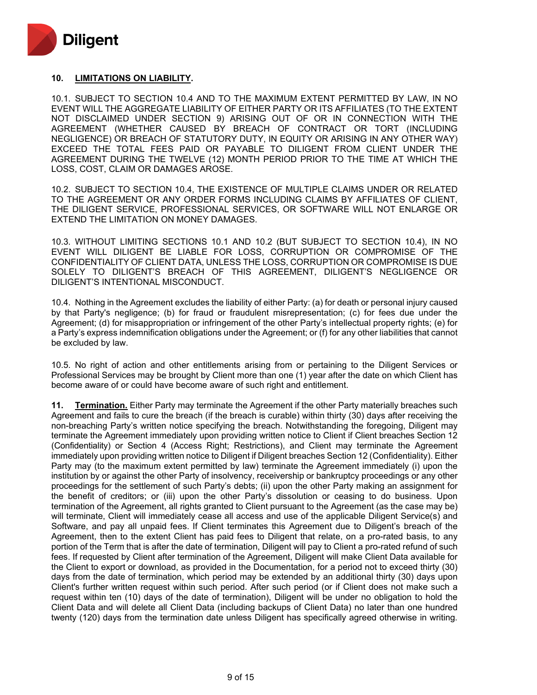

#### **10. LIMITATIONS ON LIABILITY.**

10.1. SUBJECT TO SECTION 10.4 AND TO THE MAXIMUM EXTENT PERMITTED BY LAW, IN NO EVENT WILL THE AGGREGATE LIABILITY OF EITHER PARTY OR ITS AFFILIATES (TO THE EXTENT NOT DISCLAIMED UNDER SECTION 9) ARISING OUT OF OR IN CONNECTION WITH THE AGREEMENT (WHETHER CAUSED BY BREACH OF CONTRACT OR TORT (INCLUDING NEGLIGENCE) OR BREACH OF STATUTORY DUTY, IN EQUITY OR ARISING IN ANY OTHER WAY) EXCEED THE TOTAL FEES PAID OR PAYABLE TO DILIGENT FROM CLIENT UNDER THE AGREEMENT DURING THE TWELVE (12) MONTH PERIOD PRIOR TO THE TIME AT WHICH THE LOSS, COST, CLAIM OR DAMAGES AROSE.

10.2. SUBJECT TO SECTION 10.4, THE EXISTENCE OF MULTIPLE CLAIMS UNDER OR RELATED TO THE AGREEMENT OR ANY ORDER FORMS INCLUDING CLAIMS BY AFFILIATES OF CLIENT, THE DILIGENT SERVICE, PROFESSIONAL SERVICES, OR SOFTWARE WILL NOT ENLARGE OR EXTEND THE LIMITATION ON MONEY DAMAGES.

10.3. WITHOUT LIMITING SECTIONS 10.1 AND 10.2 (BUT SUBJECT TO SECTION 10.4), IN NO EVENT WILL DILIGENT BE LIABLE FOR LOSS, CORRUPTION OR COMPROMISE OF THE CONFIDENTIALITY OF CLIENT DATA, UNLESS THE LOSS, CORRUPTION OR COMPROMISE IS DUE SOLELY TO DILIGENT'S BREACH OF THIS AGREEMENT, DILIGENT'S NEGLIGENCE OR DILIGENT'S INTENTIONAL MISCONDUCT.

10.4. Nothing in the Agreement excludes the liability of either Party: (a) for death or personal injury caused by that Party's negligence; (b) for fraud or fraudulent misrepresentation; (c) for fees due under the Agreement; (d) for misappropriation or infringement of the other Party's intellectual property rights; (e) for a Party's express indemnification obligations under the Agreement; or (f) for any other liabilities that cannot be excluded by law.

10.5. No right of action and other entitlements arising from or pertaining to the Diligent Services or Professional Services may be brought by Client more than one (1) year after the date on which Client has become aware of or could have become aware of such right and entitlement.

**11. Termination.** Either Party may terminate the Agreement if the other Party materially breaches such Agreement and fails to cure the breach (if the breach is curable) within thirty (30) days after receiving the non-breaching Party's written notice specifying the breach. Notwithstanding the foregoing, Diligent may terminate the Agreement immediately upon providing written notice to Client if Client breaches Section 12 (Confidentiality) or Section 4 (Access Right; Restrictions), and Client may terminate the Agreement immediately upon providing written notice to Diligent if Diligent breaches Section 12 (Confidentiality). Either Party may (to the maximum extent permitted by law) terminate the Agreement immediately (i) upon the institution by or against the other Party of insolvency, receivership or bankruptcy proceedings or any other proceedings for the settlement of such Party's debts; (ii) upon the other Party making an assignment for the benefit of creditors; or (iii) upon the other Party's dissolution or ceasing to do business. Upon termination of the Agreement, all rights granted to Client pursuant to the Agreement (as the case may be) will terminate, Client will immediately cease all access and use of the applicable Diligent Service(s) and Software, and pay all unpaid fees. If Client terminates this Agreement due to Diligent's breach of the Agreement, then to the extent Client has paid fees to Diligent that relate, on a pro-rated basis, to any portion of the Term that is after the date of termination, Diligent will pay to Client a pro-rated refund of such fees. If requested by Client after termination of the Agreement, Diligent will make Client Data available for the Client to export or download, as provided in the Documentation, for a period not to exceed thirty (30) days from the date of termination, which period may be extended by an additional thirty (30) days upon Client's further written request within such period. After such period (or if Client does not make such a request within ten (10) days of the date of termination), Diligent will be under no obligation to hold the Client Data and will delete all Client Data (including backups of Client Data) no later than one hundred twenty (120) days from the termination date unless Diligent has specifically agreed otherwise in writing.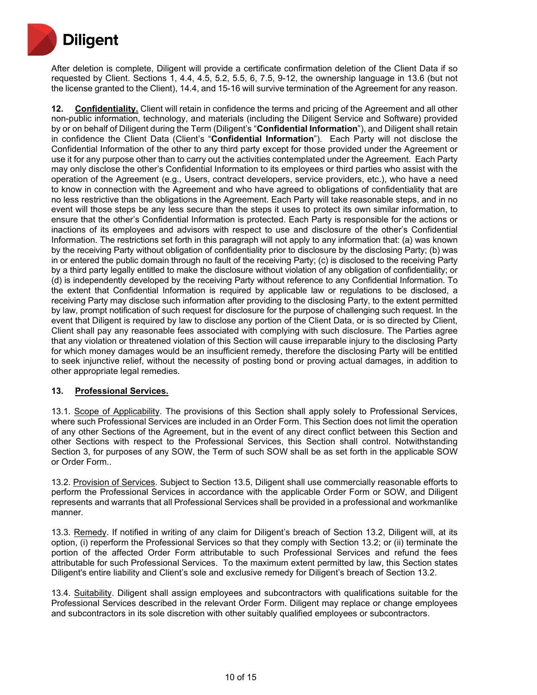

After deletion is complete, Diligent will provide a certificate confirmation deletion of the Client Data if so requested by Client. Sections 1, 4.4, 4.5, 5.2, 5.5, 6, 7.5, 9-12, the ownership language in 13.6 (but not the license granted to the Client), 14.4, and 15-16 will survive termination of the Agreement for any reason.

**12. Confidentiality.** Client will retain in confidence the terms and pricing of the Agreement and all other non-public information, technology, and materials (including the Diligent Service and Software) provided by or on behalf of Diligent during the Term (Diligent's "**Confidential Information**"), and Diligent shall retain in confidence the Client Data (Client's "**Confidential Information**"). Each Party will not disclose the Confidential Information of the other to any third party except for those provided under the Agreement or use it for any purpose other than to carry out the activities contemplated under the Agreement. Each Party may only disclose the other's Confidential Information to its employees or third parties who assist with the operation of the Agreement (e.g., Users, contract developers, service providers, etc.), who have a need to know in connection with the Agreement and who have agreed to obligations of confidentiality that are no less restrictive than the obligations in the Agreement. Each Party will take reasonable steps, and in no event will those steps be any less secure than the steps it uses to protect its own similar information, to ensure that the other's Confidential Information is protected. Each Party is responsible for the actions or inactions of its employees and advisors with respect to use and disclosure of the other's Confidential Information. The restrictions set forth in this paragraph will not apply to any information that: (a) was known by the receiving Party without obligation of confidentiality prior to disclosure by the disclosing Party; (b) was in or entered the public domain through no fault of the receiving Party; (c) is disclosed to the receiving Party by a third party legally entitled to make the disclosure without violation of any obligation of confidentiality; or (d) is independently developed by the receiving Party without reference to any Confidential Information. To the extent that Confidential Information is required by applicable law or regulations to be disclosed, a receiving Party may disclose such information after providing to the disclosing Party, to the extent permitted by law, prompt notification of such request for disclosure for the purpose of challenging such request. In the event that Diligent is required by law to disclose any portion of the Client Data, or is so directed by Client, Client shall pay any reasonable fees associated with complying with such disclosure. The Parties agree that any violation or threatened violation of this Section will cause irreparable injury to the disclosing Party for which money damages would be an insufficient remedy, therefore the disclosing Party will be entitled to seek injunctive relief, without the necessity of posting bond or proving actual damages, in addition to other appropriate legal remedies.

## **13. Professional Services.**

13.1. Scope of Applicability. The provisions of this Section shall apply solely to Professional Services, where such Professional Services are included in an Order Form. This Section does not limit the operation of any other Sections of the Agreement, but in the event of any direct conflict between this Section and other Sections with respect to the Professional Services, this Section shall control. Notwithstanding Section 3, for purposes of any SOW, the Term of such SOW shall be as set forth in the applicable SOW or Order Form..

13.2. Provision of Services. Subject to Section 13.5, Diligent shall use commercially reasonable efforts to perform the Professional Services in accordance with the applicable Order Form or SOW, and Diligent represents and warrants that all Professional Services shall be provided in a professional and workmanlike manner.

13.3. Remedy. If notified in writing of any claim for Diligent's breach of Section 13.2, Diligent will, at its option, (i) reperform the Professional Services so that they comply with Section 13.2; or (ii) terminate the portion of the affected Order Form attributable to such Professional Services and refund the fees attributable for such Professional Services. To the maximum extent permitted by law, this Section states Diligent's entire liability and Client's sole and exclusive remedy for Diligent's breach of Section 13.2.

13.4. Suitability. Diligent shall assign employees and subcontractors with qualifications suitable for the Professional Services described in the relevant Order Form. Diligent may replace or change employees and subcontractors in its sole discretion with other suitably qualified employees or subcontractors.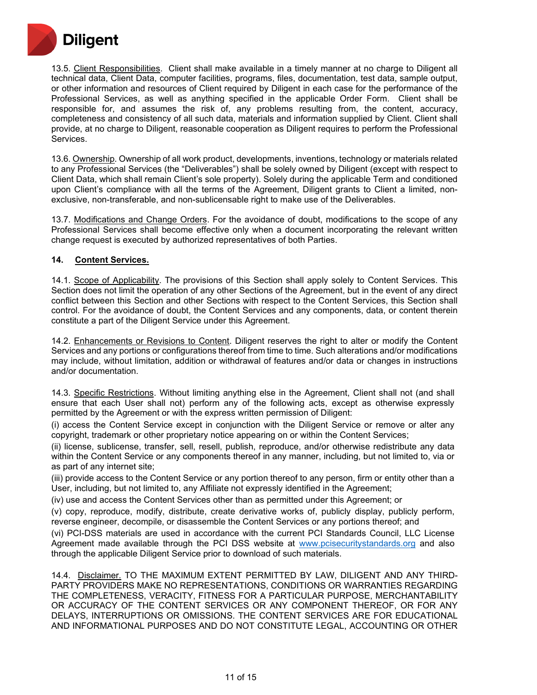

13.5. Client Responsibilities. Client shall make available in a timely manner at no charge to Diligent all technical data, Client Data, computer facilities, programs, files, documentation, test data, sample output, or other information and resources of Client required by Diligent in each case for the performance of the Professional Services, as well as anything specified in the applicable Order Form. Client shall be responsible for, and assumes the risk of, any problems resulting from, the content, accuracy, completeness and consistency of all such data, materials and information supplied by Client. Client shall provide, at no charge to Diligent, reasonable cooperation as Diligent requires to perform the Professional Services.

13.6. Ownership. Ownership of all work product, developments, inventions, technology or materials related to any Professional Services (the "Deliverables") shall be solely owned by Diligent (except with respect to Client Data, which shall remain Client's sole property). Solely during the applicable Term and conditioned upon Client's compliance with all the terms of the Agreement, Diligent grants to Client a limited, nonexclusive, non-transferable, and non-sublicensable right to make use of the Deliverables.

13.7. Modifications and Change Orders. For the avoidance of doubt, modifications to the scope of any Professional Services shall become effective only when a document incorporating the relevant written change request is executed by authorized representatives of both Parties.

## **14. Content Services.**

14.1. Scope of Applicability. The provisions of this Section shall apply solely to Content Services. This Section does not limit the operation of any other Sections of the Agreement, but in the event of any direct conflict between this Section and other Sections with respect to the Content Services, this Section shall control. For the avoidance of doubt, the Content Services and any components, data, or content therein constitute a part of the Diligent Service under this Agreement.

14.2. Enhancements or Revisions to Content. Diligent reserves the right to alter or modify the Content Services and any portions or configurations thereof from time to time. Such alterations and/or modifications may include, without limitation, addition or withdrawal of features and/or data or changes in instructions and/or documentation.

14.3. Specific Restrictions. Without limiting anything else in the Agreement, Client shall not (and shall ensure that each User shall not) perform any of the following acts, except as otherwise expressly permitted by the Agreement or with the express written permission of Diligent:

(i) access the Content Service except in conjunction with the Diligent Service or remove or alter any copyright, trademark or other proprietary notice appearing on or within the Content Services;

(ii) license, sublicense, transfer, sell, resell, publish, reproduce, and/or otherwise redistribute any data within the Content Service or any components thereof in any manner, including, but not limited to, via or as part of any internet site;

(iii) provide access to the Content Service or any portion thereof to any person, firm or entity other than a User, including, but not limited to, any Affiliate not expressly identified in the Agreement;

(iv) use and access the Content Services other than as permitted under this Agreement; or

(v) copy, reproduce, modify, distribute, create derivative works of, publicly display, publicly perform, reverse engineer, decompile, or disassemble the Content Services or any portions thereof; and

(vi) PCI-DSS materials are used in accordance with the current PCI Standards Council, LLC License Agreement made available through the PCI DSS website at [www.pcisecuritystandards.org](http://www.pcisecuritystandards.org/) and also through the applicable Diligent Service prior to download of such materials.

14.4. Disclaimer. TO THE MAXIMUM EXTENT PERMITTED BY LAW, DILIGENT AND ANY THIRD-PARTY PROVIDERS MAKE NO REPRESENTATIONS, CONDITIONS OR WARRANTIES REGARDING THE COMPLETENESS, VERACITY, FITNESS FOR A PARTICULAR PURPOSE, MERCHANTABILITY OR ACCURACY OF THE CONTENT SERVICES OR ANY COMPONENT THEREOF, OR FOR ANY DELAYS, INTERRUPTIONS OR OMISSIONS. THE CONTENT SERVICES ARE FOR EDUCATIONAL AND INFORMATIONAL PURPOSES AND DO NOT CONSTITUTE LEGAL, ACCOUNTING OR OTHER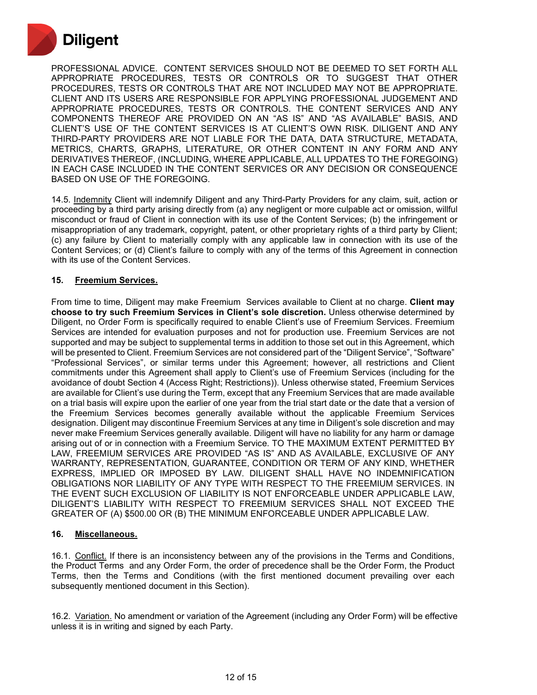

PROFESSIONAL ADVICE. CONTENT SERVICES SHOULD NOT BE DEEMED TO SET FORTH ALL APPROPRIATE PROCEDURES, TESTS OR CONTROLS OR TO SUGGEST THAT OTHER PROCEDURES, TESTS OR CONTROLS THAT ARE NOT INCLUDED MAY NOT BE APPROPRIATE. CLIENT AND ITS USERS ARE RESPONSIBLE FOR APPLYING PROFESSIONAL JUDGEMENT AND APPROPRIATE PROCEDURES, TESTS OR CONTROLS. THE CONTENT SERVICES AND ANY COMPONENTS THEREOF ARE PROVIDED ON AN "AS IS" AND "AS AVAILABLE" BASIS, AND CLIENT'S USE OF THE CONTENT SERVICES IS AT CLIENT'S OWN RISK. DILIGENT AND ANY THIRD-PARTY PROVIDERS ARE NOT LIABLE FOR THE DATA, DATA STRUCTURE, METADATA, METRICS, CHARTS, GRAPHS, LITERATURE, OR OTHER CONTENT IN ANY FORM AND ANY DERIVATIVES THEREOF, (INCLUDING, WHERE APPLICABLE, ALL UPDATES TO THE FOREGOING) IN EACH CASE INCLUDED IN THE CONTENT SERVICES OR ANY DECISION OR CONSEQUENCE BASED ON USE OF THE FOREGOING.

14.5. Indemnity Client will indemnify Diligent and any Third-Party Providers for any claim, suit, action or proceeding by a third party arising directly from (a) any negligent or more culpable act or omission, willful misconduct or fraud of Client in connection with its use of the Content Services; (b) the infringement or misappropriation of any trademark, copyright, patent, or other proprietary rights of a third party by Client; (c) any failure by Client to materially comply with any applicable law in connection with its use of the Content Services; or (d) Client's failure to comply with any of the terms of this Agreement in connection with its use of the Content Services.

## **15. Freemium Services.**

From time to time, Diligent may make Freemium Services available to Client at no charge. **Client may choose to try such Freemium Services in Client's sole discretion.** Unless otherwise determined by Diligent, no Order Form is specifically required to enable Client's use of Freemium Services. Freemium Services are intended for evaluation purposes and not for production use. Freemium Services are not supported and may be subject to supplemental terms in addition to those set out in this Agreement, which will be presented to Client. Freemium Services are not considered part of the "Diligent Service", "Software" "Professional Services", or similar terms under this Agreement; however, all restrictions and Client commitments under this Agreement shall apply to Client's use of Freemium Services (including for the avoidance of doubt Section 4 (Access Right; Restrictions)). Unless otherwise stated, Freemium Services are available for Client's use during the Term, except that any Freemium Services that are made available on a trial basis will expire upon the earlier of one year from the trial start date or the date that a version of the Freemium Services becomes generally available without the applicable Freemium Services designation. Diligent may discontinue Freemium Services at any time in Diligent's sole discretion and may never make Freemium Services generally available. Diligent will have no liability for any harm or damage arising out of or in connection with a Freemium Service. TO THE MAXIMUM EXTENT PERMITTED BY LAW, FREEMIUM SERVICES ARE PROVIDED "AS IS" AND AS AVAILABLE, EXCLUSIVE OF ANY WARRANTY, REPRESENTATION, GUARANTEE, CONDITION OR TERM OF ANY KIND, WHETHER EXPRESS, IMPLIED OR IMPOSED BY LAW. DILIGENT SHALL HAVE NO INDEMNIFICATION OBLIGATIONS NOR LIABILITY OF ANY TYPE WITH RESPECT TO THE FREEMIUM SERVICES. IN THE EVENT SUCH EXCLUSION OF LIABILITY IS NOT ENFORCEABLE UNDER APPLICABLE LAW, DILIGENT'S LIABILITY WITH RESPECT TO FREEMIUM SERVICES SHALL NOT EXCEED THE GREATER OF (A) \$500.00 OR (B) THE MINIMUM ENFORCEABLE UNDER APPLICABLE LAW.

#### **16. Miscellaneous.**

16.1. Conflict. If there is an inconsistency between any of the provisions in the Terms and Conditions, the Product Terms and any Order Form, the order of precedence shall be the Order Form, the Product Terms, then the Terms and Conditions (with the first mentioned document prevailing over each subsequently mentioned document in this Section).

16.2. Variation. No amendment or variation of the Agreement (including any Order Form) will be effective unless it is in writing and signed by each Party.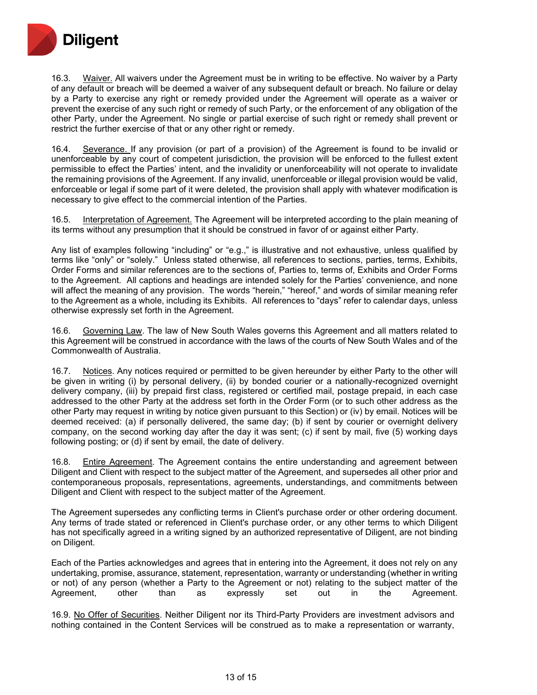

16.3. Waiver. All waivers under the Agreement must be in writing to be effective. No waiver by a Party of any default or breach will be deemed a waiver of any subsequent default or breach. No failure or delay by a Party to exercise any right or remedy provided under the Agreement will operate as a waiver or prevent the exercise of any such right or remedy of such Party, or the enforcement of any obligation of the other Party, under the Agreement. No single or partial exercise of such right or remedy shall prevent or restrict the further exercise of that or any other right or remedy.

16.4. Severance. If any provision (or part of a provision) of the Agreement is found to be invalid or unenforceable by any court of competent jurisdiction, the provision will be enforced to the fullest extent permissible to effect the Parties' intent, and the invalidity or unenforceability will not operate to invalidate the remaining provisions of the Agreement. If any invalid, unenforceable or illegal provision would be valid, enforceable or legal if some part of it were deleted, the provision shall apply with whatever modification is necessary to give effect to the commercial intention of the Parties.

16.5. Interpretation of Agreement. The Agreement will be interpreted according to the plain meaning of its terms without any presumption that it should be construed in favor of or against either Party.

Any list of examples following "including" or "e.g.," is illustrative and not exhaustive, unless qualified by terms like "only" or "solely." Unless stated otherwise, all references to sections, parties, terms, Exhibits, Order Forms and similar references are to the sections of, Parties to, terms of, Exhibits and Order Forms to the Agreement. All captions and headings are intended solely for the Parties' convenience, and none will affect the meaning of any provision. The words "herein," "hereof," and words of similar meaning refer to the Agreement as a whole, including its Exhibits. All references to "days" refer to calendar days, unless otherwise expressly set forth in the Agreement.

16.6. Governing Law. The law of New South Wales governs this Agreement and all matters related to this Agreement will be construed in accordance with the laws of the courts of New South Wales and of the Commonwealth of Australia.

16.7. Notices. Any notices required or permitted to be given hereunder by either Party to the other will be given in writing (i) by personal delivery, (ii) by bonded courier or a nationally-recognized overnight delivery company, (iii) by prepaid first class, registered or certified mail, postage prepaid, in each case addressed to the other Party at the address set forth in the Order Form (or to such other address as the other Party may request in writing by notice given pursuant to this Section) or (iv) by email. Notices will be deemed received: (a) if personally delivered, the same day; (b) if sent by courier or overnight delivery company, on the second working day after the day it was sent; (c) if sent by mail, five (5) working days following posting; or (d) if sent by email, the date of delivery.

16.8. Entire Agreement. The Agreement contains the entire understanding and agreement between Diligent and Client with respect to the subject matter of the Agreement, and supersedes all other prior and contemporaneous proposals, representations, agreements, understandings, and commitments between Diligent and Client with respect to the subject matter of the Agreement.

The Agreement supersedes any conflicting terms in Client's purchase order or other ordering document. Any terms of trade stated or referenced in Client's purchase order, or any other terms to which Diligent has not specifically agreed in a writing signed by an authorized representative of Diligent, are not binding on Diligent.

Each of the Parties acknowledges and agrees that in entering into the Agreement, it does not rely on any undertaking, promise, assurance, statement, representation, warranty or understanding (whether in writing or not) of any person (whether a Party to the Agreement or not) relating to the subject matter of the Agreement, other than as expressly set out in the Agreement.

16.9. No Offer of Securities. Neither Diligent nor its Third-Party Providers are investment advisors and nothing contained in the Content Services will be construed as to make a representation or warranty,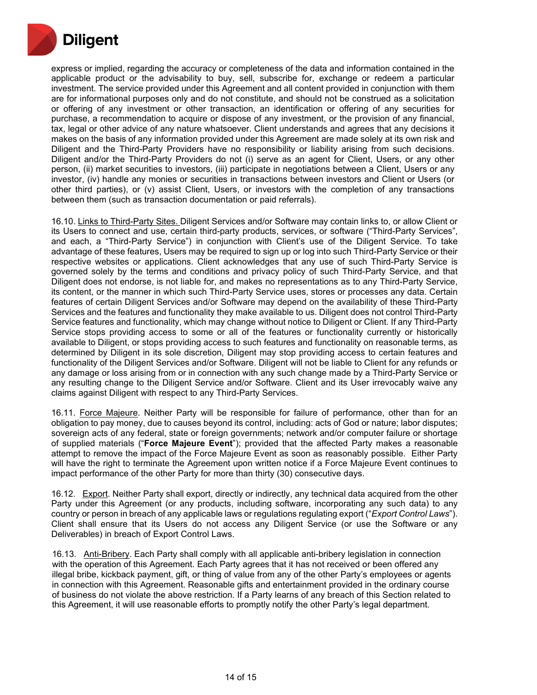

express or implied, regarding the accuracy or completeness of the data and information contained in the applicable product or the advisability to buy, sell, subscribe for, exchange or redeem a particular investment. The service provided under this Agreement and all content provided in conjunction with them are for informational purposes only and do not constitute, and should not be construed as a solicitation or offering of any investment or other transaction, an identification or offering of any securities for purchase, a recommendation to acquire or dispose of any investment, or the provision of any financial, tax, legal or other advice of any nature whatsoever. Client understands and agrees that any decisions it makes on the basis of any information provided under this Agreement are made solely at its own risk and Diligent and the Third-Party Providers have no responsibility or liability arising from such decisions. Diligent and/or the Third-Party Providers do not (i) serve as an agent for Client, Users, or any other person, (ii) market securities to investors, (iii) participate in negotiations between a Client, Users or any investor, (iv) handle any monies or securities in transactions between investors and Client or Users (or other third parties), or (v) assist Client, Users, or investors with the completion of any transactions between them (such as transaction documentation or paid referrals).

16.10. Links to Third-Party Sites. Diligent Services and/or Software may contain links to, or allow Client or its Users to connect and use, certain third-party products, services, or software ("Third-Party Services", and each, a "Third-Party Service") in conjunction with Client's use of the Diligent Service. To take advantage of these features, Users may be required to sign up or log into such Third-Party Service or their respective websites or applications. Client acknowledges that any use of such Third-Party Service is governed solely by the terms and conditions and privacy policy of such Third-Party Service, and that Diligent does not endorse, is not liable for, and makes no representations as to any Third-Party Service, its content, or the manner in which such Third-Party Service uses, stores or processes any data. Certain features of certain Diligent Services and/or Software may depend on the availability of these Third-Party Services and the features and functionality they make available to us. Diligent does not control Third-Party Service features and functionality, which may change without notice to Diligent or Client. If any Third-Party Service stops providing access to some or all of the features or functionality currently or historically available to Diligent, or stops providing access to such features and functionality on reasonable terms, as determined by Diligent in its sole discretion, Diligent may stop providing access to certain features and functionality of the Diligent Services and/or Software. Diligent will not be liable to Client for any refunds or any damage or loss arising from or in connection with any such change made by a Third-Party Service or any resulting change to the Diligent Service and/or Software. Client and its User irrevocably waive any claims against Diligent with respect to any Third-Party Services.

16.11. Force Majeure. Neither Party will be responsible for failure of performance, other than for an obligation to pay money, due to causes beyond its control, including: acts of God or nature; labor disputes; sovereign acts of any federal, state or foreign governments; network and/or computer failure or shortage of supplied materials ("**Force Majeure Event**"); provided that the affected Party makes a reasonable attempt to remove the impact of the Force Majeure Event as soon as reasonably possible. Either Party will have the right to terminate the Agreement upon written notice if a Force Majeure Event continues to impact performance of the other Party for more than thirty (30) consecutive days.

16.12. Export. Neither Party shall export, directly or indirectly, any technical data acquired from the other Party under this Agreement (or any products, including software, incorporating any such data) to any country or person in breach of any applicable laws or regulations regulating export ("*Export Control Laws*"). Client shall ensure that its Users do not access any Diligent Service (or use the Software or any Deliverables) in breach of Export Control Laws.

16.13. Anti-Bribery. Each Party shall comply with all applicable anti-bribery legislation in connection with the operation of this Agreement. Each Party agrees that it has not received or been offered any illegal bribe, kickback payment, gift, or thing of value from any of the other Party's employees or agents in connection with this Agreement. Reasonable gifts and entertainment provided in the ordinary course of business do not violate the above restriction. If a Party learns of any breach of this Section related to this Agreement, it will use reasonable efforts to promptly notify the other Party's legal department.